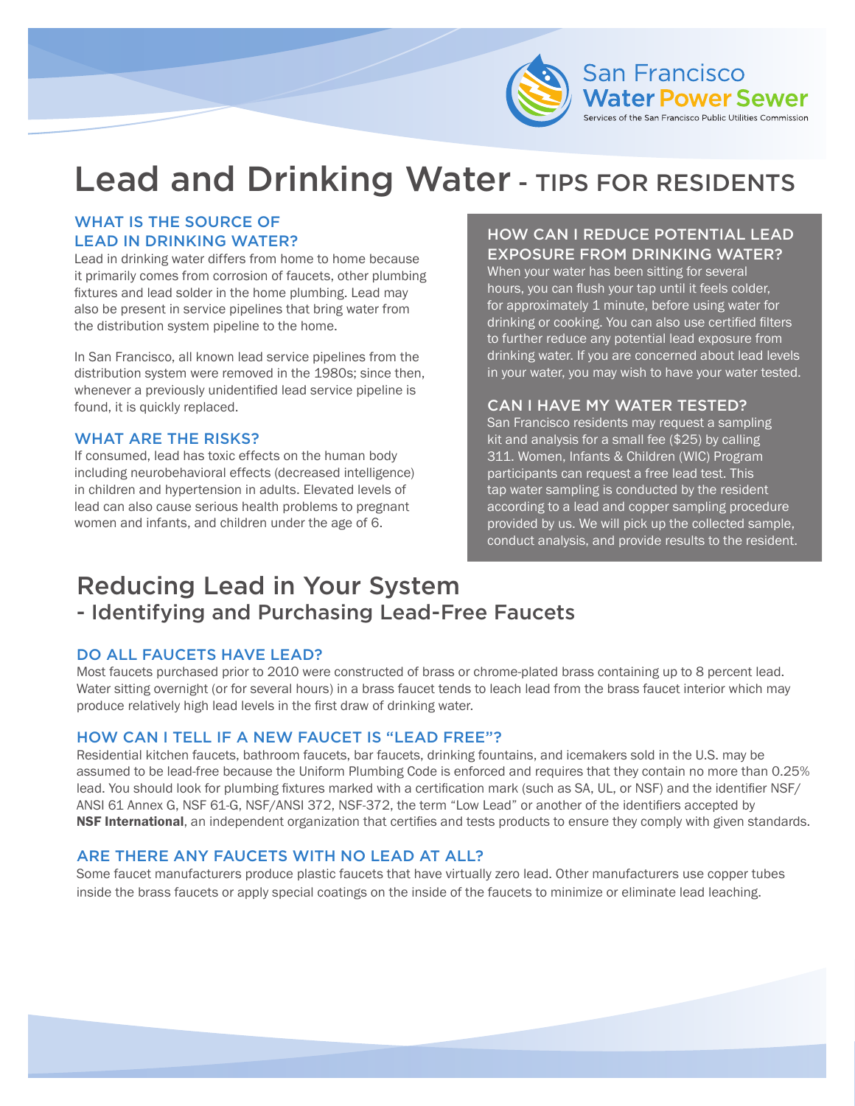

# Lead and Drinking Water - TIPS FOR RESIDENTS

# WHAT IS THE SOURCE OF LEAD IN DRINKING WATER?

Lead in drinking water differs from home to home because it primarily comes from corrosion of faucets, other plumbing fixtures and lead solder in the home plumbing. Lead may also be present in service pipelines that bring water from the distribution system pipeline to the home.

In San Francisco, all known lead service pipelines from the distribution system were removed in the 1980s; since then, whenever a previously unidentified lead service pipeline is found, it is quickly replaced.

#### WHAT ARE THE RISKS?

If consumed, lead has toxic effects on the human body including neurobehavioral effects (decreased intelligence) in children and hypertension in adults. Elevated levels of lead can also cause serious health problems to pregnant women and infants, and children under the age of 6.

# HOW CAN I REDUCE POTENTIAL LEAD EXPOSURE FROM DRINKING WATER?

When your water has been sitting for several hours, you can flush your tap until it feels colder, for approximately 1 minute, before using water for drinking or cooking. You can also use certified filters to further reduce any potential lead exposure from drinking water. If you are concerned about lead levels in your water, you may wish to have your water tested.

#### CAN I HAVE MY WATER TESTED?

San Francisco residents may request a sampling kit and analysis for a small fee (\$25) by calling 311. Women, Infants & Children (WIC) Program participants can request a free lead test. This tap water sampling is conducted by the resident according to a lead and copper sampling procedure provided by us. We will pick up the collected sample, conduct analysis, and provide results to the resident.

# Reducing Lead in Your System - Identifying and Purchasing Lead-Free Faucets

#### DO ALL FAUCETS HAVE LEAD?

Most faucets purchased prior to 2010 were constructed of brass or chrome-plated brass containing up to 8 percent lead. Water sitting overnight (or for several hours) in a brass faucet tends to leach lead from the brass faucet interior which may produce relatively high lead levels in the first draw of drinking water.

#### HOW CAN I TELL IF A NEW FAUCET IS "LEAD FREE"?

Residential kitchen faucets, bathroom faucets, bar faucets, drinking fountains, and icemakers sold in the U.S. may be assumed to be lead-free because the Uniform Plumbing Code is enforced and requires that they contain no more than 0.25% lead. You should look for plumbing fixtures marked with a certification mark (such as SA, UL, or NSF) and the identifier NSF/ ANSI 61 Annex G, NSF 61-G, NSF/ANSI 372, NSF-372, the term "Low Lead" or another of the identifiers accepted by NSF International, an independent organization that certifies and tests products to ensure they comply with given standards.

#### ARE THERE ANY FAUCETS WITH NO LEAD AT ALL?

Some faucet manufacturers produce plastic faucets that have virtually zero lead. Other manufacturers use copper tubes inside the brass faucets or apply special coatings on the inside of the faucets to minimize or eliminate lead leaching.